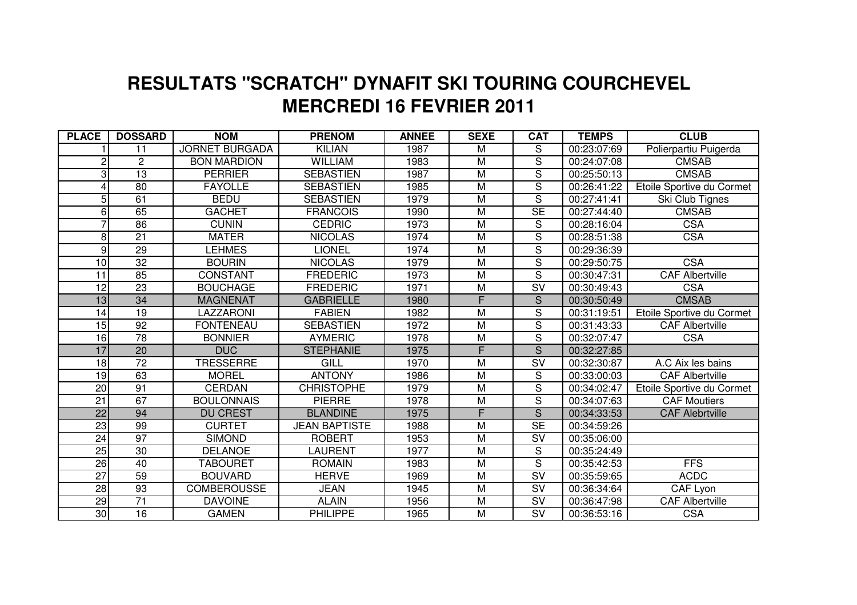## **MERCREDI 16 FEVRIER 2011 RESULTATS "SCRATCH" DYNAFIT SKI TOURING COURCHEVEL**

| <b>PLACE</b>    | <b>DOSSARD</b>  | <b>NOM</b>            | <b>PRENOM</b>        | <b>ANNEE</b> | <b>SEXE</b>             | <b>CAT</b>               | <b>TEMPS</b> | <b>CLUB</b>               |
|-----------------|-----------------|-----------------------|----------------------|--------------|-------------------------|--------------------------|--------------|---------------------------|
|                 | 11              | <b>JORNET BURGADA</b> | <b>KILIAN</b>        | 1987         | M                       | S                        | 00:23:07:69  | Polierpartiu Puigerda     |
| 2               | $\overline{c}$  | <b>BON MARDION</b>    | <b>WILLIAM</b>       | 1983         | M                       | $\overline{S}$           | 00:24:07:08  | <b>CMSAB</b>              |
| 3               | 13              | <b>PERRIER</b>        | <b>SEBASTIEN</b>     | 1987         | M                       | S                        | 00:25:50:13  | <b>CMSAB</b>              |
| 4               | 80              | <b>FAYOLLE</b>        | <b>SEBASTIEN</b>     | 1985         | M                       | $\overline{\mathsf{s}}$  | 00:26:41:22  | Etoile Sportive du Cormet |
| 5               | 61              | <b>BEDU</b>           | <b>SEBASTIEN</b>     | 1979         | M                       | $\overline{S}$           | 00:27:41:41  | Ski Club Tignes           |
| 6               | 65              | <b>GACHET</b>         | <b>FRANCOIS</b>      | 1990         | $\overline{\mathsf{M}}$ | $\overline{\text{SE}}$   | 00:27:44:40  | <b>CMSAB</b>              |
| 7               | 86              | <b>CUNIN</b>          | <b>CEDRIC</b>        | 1973         | M                       | S                        | 00:28:16:04  | <b>CSA</b>                |
| 8               | $\overline{21}$ | <b>MATER</b>          | <b>NICOLAS</b>       | 1974         | M                       | $\overline{S}$           | 00:28:51:38  | <b>CSA</b>                |
| 9               | 29              | <b>LEHMES</b>         | <b>LIONEL</b>        | 1974         | M                       | $\overline{\mathsf{s}}$  | 00:29:36:39  |                           |
| 10              | 32              | <b>BOURIN</b>         | <b>NICOLAS</b>       | 1979         | M                       | S                        | 00:29:50:75  | <b>CSA</b>                |
| 11              | 85              | <b>CONSTANT</b>       | <b>FREDERIC</b>      | 1973         | $\overline{\mathsf{M}}$ | $\overline{\mathsf{s}}$  | 00:30:47:31  | <b>CAF Albertville</b>    |
| 12              | 23              | <b>BOUCHAGE</b>       | <b>FREDERIC</b>      | 1971         | M                       | SV                       | 00:30:49:43  | <b>CSA</b>                |
| $\overline{13}$ | $\overline{34}$ | <b>MAGNENAT</b>       | <b>GABRIELLE</b>     | 1980         | F                       | $\overline{S}$           | 00:30:50:49  | <b>CMSAB</b>              |
| 14              | 19              | LAZZARONI             | <b>FABIEN</b>        | 1982         | M                       | $\mathsf S$              | 00:31:19:51  | Etoile Sportive du Cormet |
| 15              | 92              | <b>FONTENEAU</b>      | <b>SEBASTIEN</b>     | 1972         | M                       | $\overline{S}$           | 00:31:43:33  | <b>CAF Albertville</b>    |
| 16              | $\overline{78}$ | <b>BONNIER</b>        | <b>AYMERIC</b>       | 1978         | M                       | $\overline{\mathsf{s}}$  | 00:32:07:47  | <b>CSA</b>                |
| 17              | 20              | <b>DUC</b>            | <b>STEPHANIE</b>     | 1975         | F                       | $\overline{S}$           | 00:32:27:85  |                           |
| $\overline{18}$ | $\overline{72}$ | <b>TRESSERRE</b>      | GILL                 | 1970         | $\overline{\mathsf{M}}$ | $\overline{\mathsf{SV}}$ | 00:32:30:87  | A.C Aix les bains         |
| 19              | 63              | <b>MOREL</b>          | <b>ANTONY</b>        | 1986         | $\overline{\mathsf{M}}$ | $\overline{S}$           | 00:33:00:03  | <b>CAF Albertville</b>    |
| $\overline{20}$ | $\overline{91}$ | <b>CERDAN</b>         | <b>CHRISTOPHE</b>    | 1979         | M                       | $\overline{\mathsf{s}}$  | 00:34:02:47  | Etoile Sportive du Cormet |
| $\overline{21}$ | 67              | <b>BOULONNAIS</b>     | <b>PIERRE</b>        | 1978         | $\overline{\mathsf{M}}$ | $\overline{\mathsf{s}}$  | 00:34:07:63  | <b>CAF Moutiers</b>       |
| $\overline{22}$ | 94              | <b>DU CREST</b>       | <b>BLANDINE</b>      | 1975         | F                       | $\overline{\mathsf{s}}$  | 00:34:33:53  | <b>CAF Alebrtville</b>    |
| 23              | 99              | <b>CURTET</b>         | <b>JEAN BAPTISTE</b> | 1988         | M                       | <b>SE</b>                | 00:34:59:26  |                           |
| 24              | $\overline{97}$ | <b>SIMOND</b>         | <b>ROBERT</b>        | 1953         | M                       | $\overline{\mathsf{SV}}$ | 00:35:06:00  |                           |
| 25              | 30              | <b>DELANOE</b>        | LAURENT              | 1977         | M                       | S                        | 00:35:24:49  |                           |
| 26              | 40              | <b>TABOURET</b>       | <b>ROMAIN</b>        | 1983         | M                       | $\overline{S}$           | 00:35:42:53  | <b>FFS</b>                |
| $\overline{27}$ | $\overline{59}$ | <b>BOUVARD</b>        | <b>HERVE</b>         | 1969         | M                       | $\overline{\mathsf{SV}}$ | 00:35:59:65  | <b>ACDC</b>               |
| $\overline{28}$ | 93              | <b>COMBEROUSSE</b>    | <b>JEAN</b>          | 1945         | M                       | $\overline{\mathsf{SV}}$ | 00:36:34:64  | CAF Lyon                  |
| 29              | 71              | <b>DAVOINE</b>        | <b>ALAIN</b>         | 1956         | M                       | $\overline{\mathsf{SV}}$ | 00:36:47:98  | <b>CAF Albertville</b>    |
| 30              | 16              | <b>GAMEN</b>          | <b>PHILIPPE</b>      | 1965         | M                       | SV                       | 00:36:53:16  | <b>CSA</b>                |